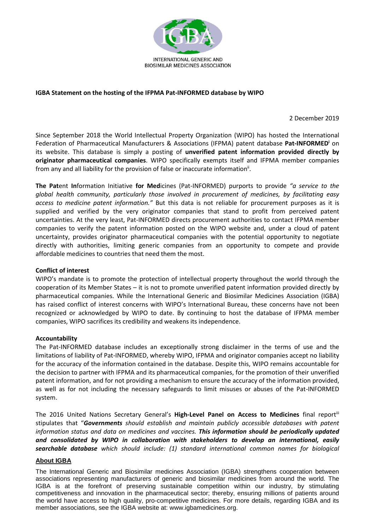

## **IGBA Statement on the hosting of the IFPMA Pat-INFORMED database by WIPO**

2 December 2019

Since September 2018 the World Intellectual Property Organization (WIPO) has hosted the International Federation of Pharmaceutical Manufacturers & Associations (IFPMA) patent database **Pat-INFORMED<sup>i</sup>** on its website. This database is simply a posting of **unverified patent information provided directly by originator pharmaceutical companies**. WIPO specifically exempts itself and IFPMA member companies from any and all liability for the provision of false or inaccurate information<sup>ii</sup>.

**The Pat**ent **In**formation Initiative **for Med**icines (Pat-INFORMED) purports to provide *"a service to the global health community, particularly those involved in procurement of medicines, by facilitating easy access to medicine patent information."* But this data is not reliable for procurement purposes as it is supplied and verified by the very originator companies that stand to profit from perceived patent uncertainties. At the very least, Pat-INFORMED directs procurement authorities to contact IFPMA member companies to verify the patent information posted on the WIPO website and, under a cloud of patent uncertainty, provides originator pharmaceutical companies with the potential opportunity to negotiate directly with authorities, limiting generic companies from an opportunity to compete and provide affordable medicines to countries that need them the most.

## **Conflict of interest**

WIPO's mandate is to promote the protection of intellectual property throughout the world through the cooperation of its Member States – it is not to promote unverified patent information provided directly by pharmaceutical companies. While the International Generic and Biosimilar Medicines Association (IGBA) has raised conflict of interest concerns with WIPO's International Bureau, these concerns have not been recognized or acknowledged by WIPO to date. By continuing to host the database of IFPMA member companies, WIPO sacrifices its credibility and weakens its independence.

## **Accountability**

The Pat-INFORMED database includes an exceptionally strong disclaimer in the terms of use and the limitations of liability of Pat-INFORMED, whereby WIPO, IFPMA and originator companies accept no liability for the accuracy of the information contained in the database. Despite this, WIPO remains accountable for the decision to partner with IFPMA and its pharmaceutical companies, for the promotion of their unverified patent information, and for not providing a mechanism to ensure the accuracy of the information provided, as well as for not including the necessary safeguards to limit misuses or abuses of the Pat-INFORMED system.

The 2016 United Nations Secretary General's **High-Level Panel on Access to Medicines** final reportiii stipulates that "*Governments should establish and maintain publicly accessible databases with patent information status and data on medicines and vaccines. This information should be periodically updated and consolidated by WIPO in collaboration with stakeholders to develop an international, easily searchable database which should include: (1) standard international common names for biological* 

## **About IGBA**

The International Generic and Biosimilar medicines Association (IGBA) strengthens cooperation between associations representing manufacturers of generic and biosimilar medicines from around the world. The IGBA is at the forefront of preserving sustainable competition within our industry, by stimulating competitiveness and innovation in the pharmaceutical sector; thereby, ensuring millions of patients around the world have access to high quality, pro-competitive medicines. For more details, regarding IGBA and its member associations, see the IGBA website at: www.igbamedicines.org.